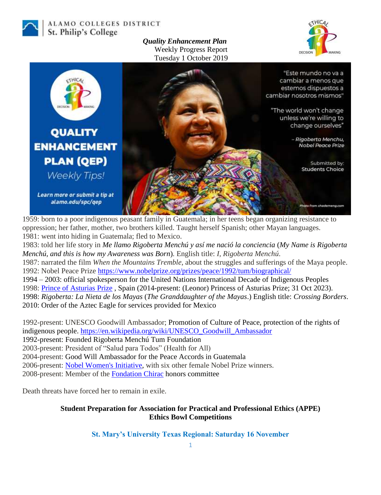

ALAMO COLLEGES DISTRICT St. Philip's College

> *Quality Enhancement Plan* Weekly Progress Report Tuesday 1 October 2019





1959: born to a poor indigenous peasant family in Guatemala; in her teens began organizing resistance to oppression; her father, mother, two brothers killed. Taught herself Spanish; other Mayan languages. 1981: went into hiding in Guatemala; fled to Mexico.

1983: told her life story in *Me llamo Rigoberta Menchú y así me nació la conciencia* (*My Name is Rigoberta Menchú, and this is how my Awareness was Born*)*.* English title: *I, Rigoberta Menchú*. 1987: narrated the film *When the Mountains Tremble*, about the struggles and sufferings of the Maya people. 1992: Nobel Peace Prize <https://www.nobelprize.org/prizes/peace/1992/tum/biographical/> 1994 – 2003: official spokesperson for the United Nations International Decade of Indigenous Peoples 1998: [Prince of Asturias Prize](https://en.wikipedia.org/wiki/Prince_of_Asturias_Prize) , Spain (2014-present: (Leonor) Princess of Asturias Prize; 31 Oct 2023). 1998: *Rigoberta: La Nieta de los Mayas* (*The Granddaughter of the Mayas*.) English title: *Crossing Borders*.

2010: Order of the Aztec Eagle for services provided for Mexico

1992-present: UNESCO Goodwill Ambassador; Promotion of Culture of Peace, protection of the rights of indigenous people. [https://en.wikipedia.org/wiki/UNESCO\\_Goodwill\\_Ambassador](https://en.wikipedia.org/wiki/UNESCO_Goodwill_Ambassador)

1992-present: Founded Rigoberta Menchú Tum Foundation

2003-present: President of "Salud para Todos" (Health for All)

2004-present: Good Will Ambassador for the Peace Accords in Guatemala

2006-present: [Nobel Women's Initiative,](https://en.wikipedia.org/wiki/Nobel_Women%27s_Initiative) with six other female Nobel Prize winners.

2008-present: Member of the [Fondation Chirac](https://en.wikipedia.org/wiki/Jacques_Chirac_Foundation_for_Sustainable_Development_and_Cultural_Dialogue) honors committee

Death threats have forced her to remain in exile.

## **Student Preparation for Association for Practical and Professional Ethics (APPE) Ethics Bowl Competitions**

**St. Mary's University Texas Regional: Saturday 16 November**